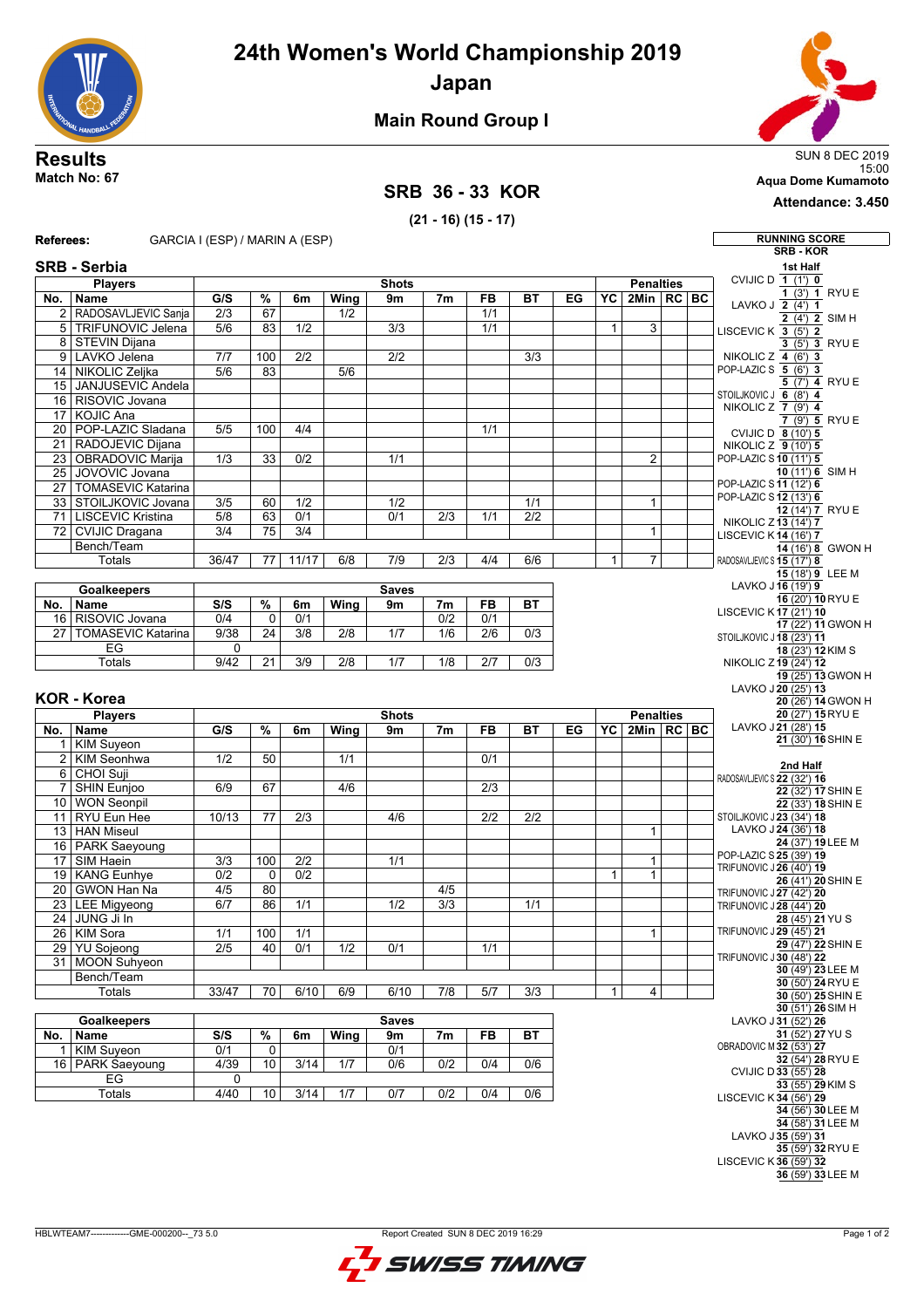**24th Women's World Championship 2019**



**Japan**



**Attendance: 3.450**

## **Main Round Group I**

## **SRB 36 - 33 KOR**

**(21 - 16) (15 - 17)**



**36** (59') **33** LEE M